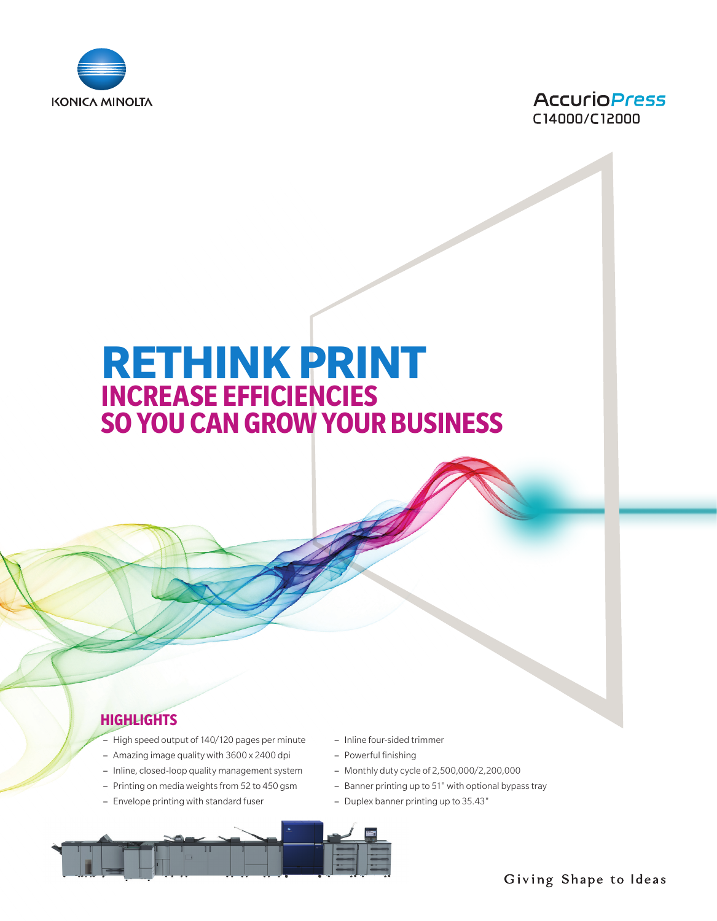



# **RETHINK PRINT INCREASE EFFICIENCIES SO YOU CAN GROW YOUR BUSINESS**

## **HIGHLIGHTS**

- High speed output of 140/120 pages per minute
- Amazing image quality with 3600 x 2400 dpi
- Inline, closed-loop quality management system
- Printing on media weights from 52 to 450 gsm
- Envelope printing with standard fuser
- Inline four-sided trimmer
- Powerful finishing
- Monthly duty cycle of 2,500,000/2,200,000
- Banner printing up to 51" with optional bypass tray
- Duplex banner printing up to 35.43"